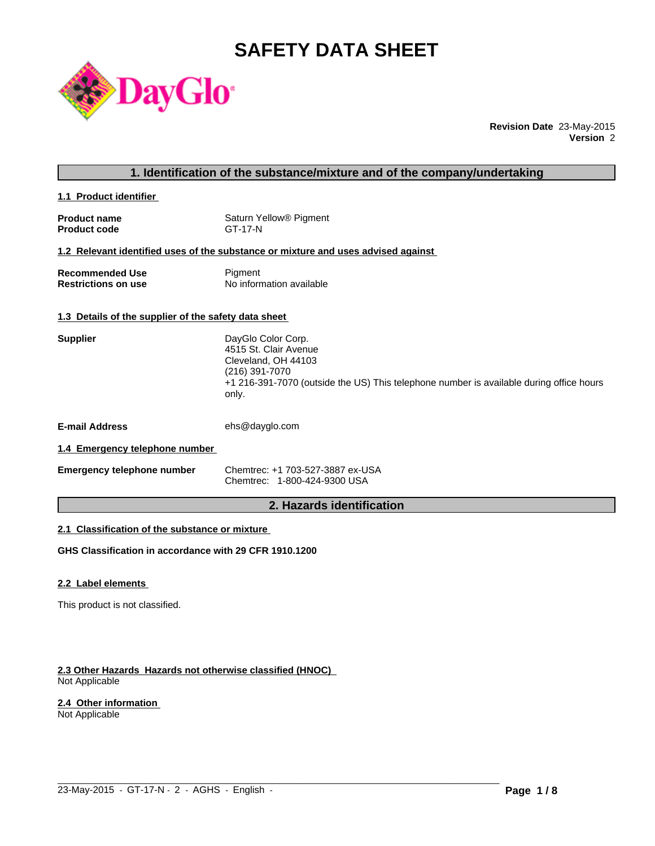# **SAFETY DATA SHEET**



**Revision Date** 23-May-2015 **Version** 2

# **1. Identification of the substance/mixture and of the company/undertaking**

**1.1 Product identifier** 

| <b>Product name</b> | Saturn Yellow <sup>®</sup> Pigment |
|---------------------|------------------------------------|
| <b>Product code</b> | GT-17-N                            |

#### **1.2 Relevant identified uses of the substance or mixture and uses advised against**

| <b>Recommended Use</b>     | Pigment                  |
|----------------------------|--------------------------|
| <b>Restrictions on use</b> | No information available |

# **1.3 Details of the supplier of the safety data sheet**

| <b>Supplier</b>                | DayGlo Color Corp.<br>4515 St. Clair Avenue<br>Cleveland, OH 44103<br>(216) 391-7070<br>+1 216-391-7070 (outside the US) This telephone number is available during office hours<br>only. |
|--------------------------------|------------------------------------------------------------------------------------------------------------------------------------------------------------------------------------------|
| <b>E-mail Address</b>          | ehs@dayglo.com                                                                                                                                                                           |
| 1.4 Emergency telephone number |                                                                                                                                                                                          |

**Emergency telephone number** Chemtrec: +1 703-527-3887 ex-USA Chemtrec: 1-800-424-9300 USA

# **2. Hazards identification**

 $\_$  ,  $\_$  ,  $\_$  ,  $\_$  ,  $\_$  ,  $\_$  ,  $\_$  ,  $\_$  ,  $\_$  ,  $\_$  ,  $\_$  ,  $\_$  ,  $\_$  ,  $\_$  ,  $\_$  ,  $\_$  ,  $\_$  ,  $\_$  ,  $\_$  ,  $\_$  ,  $\_$  ,  $\_$  ,  $\_$  ,  $\_$  ,  $\_$  ,  $\_$  ,  $\_$  ,  $\_$  ,  $\_$  ,  $\_$  ,  $\_$  ,  $\_$  ,  $\_$  ,  $\_$  ,  $\_$  ,  $\_$  ,  $\_$  ,

# **2.1 Classification of the substance or mixture**

**GHS Classification in accordance with 29 CFR 1910.1200**

#### **2.2 Label elements**

This product is not classified.

#### **2.3 Other Hazards Hazards not otherwise classified (HNOC)**  Not Applicable

#### **2.4 Other information**

Not Applicable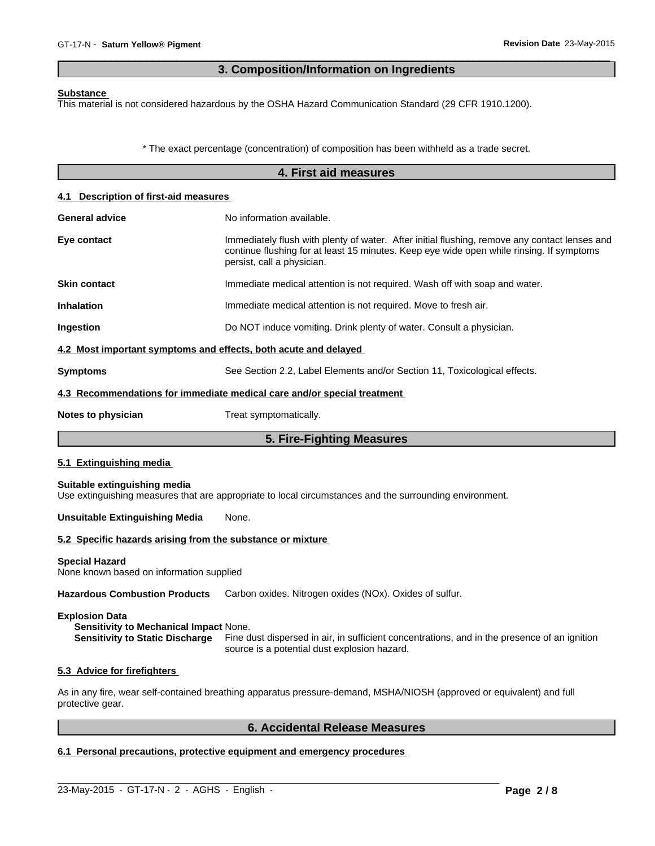# **3. Composition/Information on Ingredients**

 $\overline{\phantom{a}}$  ,  $\overline{\phantom{a}}$  ,  $\overline{\phantom{a}}$  ,  $\overline{\phantom{a}}$  ,  $\overline{\phantom{a}}$  ,  $\overline{\phantom{a}}$  ,  $\overline{\phantom{a}}$  ,  $\overline{\phantom{a}}$  ,  $\overline{\phantom{a}}$  ,  $\overline{\phantom{a}}$  ,  $\overline{\phantom{a}}$  ,  $\overline{\phantom{a}}$  ,  $\overline{\phantom{a}}$  ,  $\overline{\phantom{a}}$  ,  $\overline{\phantom{a}}$  ,  $\overline{\phantom{a}}$ 

#### **Substance**

This material is not considered hazardous by the OSHA Hazard Communication Standard (29 CFR 1910.1200).

\* The exact percentage (concentration) of composition has been withheld as a trade secret.

|                                                                   | 4. First aid measures                                                                                                                                                                                                   |  |  |  |
|-------------------------------------------------------------------|-------------------------------------------------------------------------------------------------------------------------------------------------------------------------------------------------------------------------|--|--|--|
| 4.1 Description of first-aid measures                             |                                                                                                                                                                                                                         |  |  |  |
| No information available.<br><b>General advice</b>                |                                                                                                                                                                                                                         |  |  |  |
| Eye contact                                                       | Immediately flush with plenty of water. After initial flushing, remove any contact lenses and<br>continue flushing for at least 15 minutes. Keep eye wide open while rinsing. If symptoms<br>persist, call a physician. |  |  |  |
| <b>Skin contact</b>                                               | Immediate medical attention is not required. Wash off with soap and water.                                                                                                                                              |  |  |  |
| <b>Inhalation</b>                                                 | Immediate medical attention is not required. Move to fresh air.                                                                                                                                                         |  |  |  |
| Ingestion                                                         | Do NOT induce vomiting. Drink plenty of water. Consult a physician.                                                                                                                                                     |  |  |  |
| 4.2 Most important symptoms and effects, both acute and delayed   |                                                                                                                                                                                                                         |  |  |  |
| <b>Symptoms</b>                                                   | See Section 2.2, Label Elements and/or Section 11, Toxicological effects.                                                                                                                                               |  |  |  |
|                                                                   | 4.3 Recommendations for immediate medical care and/or special treatment                                                                                                                                                 |  |  |  |
| Notes to physician                                                | Treat symptomatically.                                                                                                                                                                                                  |  |  |  |
|                                                                   | 5. Fire-Fighting Measures                                                                                                                                                                                               |  |  |  |
| 5.1 Extinguishing media                                           |                                                                                                                                                                                                                         |  |  |  |
| Suitable extinguishing media                                      | Use extinguishing measures that are appropriate to local circumstances and the surrounding environment.                                                                                                                 |  |  |  |
| <b>Unsuitable Extinguishing Media</b><br>None.                    |                                                                                                                                                                                                                         |  |  |  |
| 5.2 Specific hazards arising from the substance or mixture        |                                                                                                                                                                                                                         |  |  |  |
| <b>Special Hazard</b><br>None known based on information supplied |                                                                                                                                                                                                                         |  |  |  |
| <b>Hazardous Combustion Products</b>                              | Carbon oxides. Nitrogen oxides (NOx). Oxides of sulfur.                                                                                                                                                                 |  |  |  |

#### **Explosion Data**

**Sensitivity to Mechanical Impact** None. **Sensitivity to Static Discharge** Fine dust dispersed in air, in sufficient concentrations, and in the presence of an ignition source is a potential dust explosion hazard.

#### **5.3 Advice for firefighters**

As in any fire, wear self-contained breathing apparatus pressure-demand, MSHA/NIOSH (approved or equivalent) and full protective gear.

 $\_$  ,  $\_$  ,  $\_$  ,  $\_$  ,  $\_$  ,  $\_$  ,  $\_$  ,  $\_$  ,  $\_$  ,  $\_$  ,  $\_$  ,  $\_$  ,  $\_$  ,  $\_$  ,  $\_$  ,  $\_$  ,  $\_$  ,  $\_$  ,  $\_$  ,  $\_$  ,  $\_$  ,  $\_$  ,  $\_$  ,  $\_$  ,  $\_$  ,  $\_$  ,  $\_$  ,  $\_$  ,  $\_$  ,  $\_$  ,  $\_$  ,  $\_$  ,  $\_$  ,  $\_$  ,  $\_$  ,  $\_$  ,  $\_$  ,

# **6. Accidental Release Measures**

# **6.1 Personal precautions, protective equipment and emergency procedures**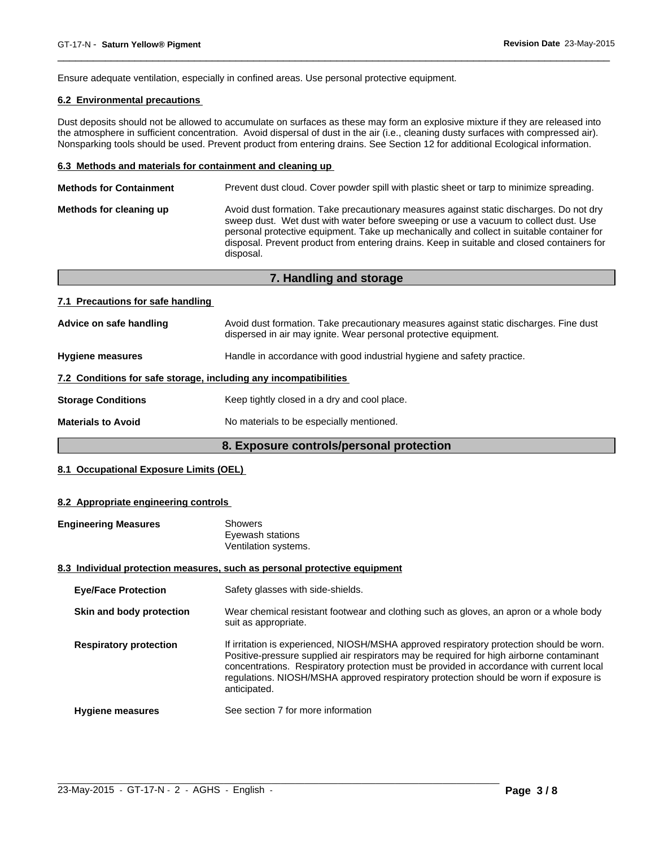Ensure adequate ventilation, especially in confined areas. Use personal protective equipment.

# **6.2 Environmental precautions**

Dust deposits should not be allowed to accumulate on surfaces as these may form an explosive mixture if they are released into the atmosphere in sufficient concentration. Avoid dispersal of dust in the air (i.e., cleaning dusty surfaces with compressed air). Nonsparking tools should be used. Prevent product from entering drains. See Section 12 for additional Ecological information.

 $\overline{\phantom{a}}$  ,  $\overline{\phantom{a}}$  ,  $\overline{\phantom{a}}$  ,  $\overline{\phantom{a}}$  ,  $\overline{\phantom{a}}$  ,  $\overline{\phantom{a}}$  ,  $\overline{\phantom{a}}$  ,  $\overline{\phantom{a}}$  ,  $\overline{\phantom{a}}$  ,  $\overline{\phantom{a}}$  ,  $\overline{\phantom{a}}$  ,  $\overline{\phantom{a}}$  ,  $\overline{\phantom{a}}$  ,  $\overline{\phantom{a}}$  ,  $\overline{\phantom{a}}$  ,  $\overline{\phantom{a}}$ 

#### **6.3 Methods and materials for containment and cleaning up**

| <b>Methods for Containment</b> | Prevent dust cloud. Cover powder spill with plastic sheet or tarp to minimize spreading.                                                                                                                                                                                                                                                                                                |  |  |  |  |  |
|--------------------------------|-----------------------------------------------------------------------------------------------------------------------------------------------------------------------------------------------------------------------------------------------------------------------------------------------------------------------------------------------------------------------------------------|--|--|--|--|--|
| Methods for cleaning up        | Avoid dust formation. Take precautionary measures against static discharges. Do not dry<br>sweep dust. Wet dust with water before sweeping or use a vacuum to collect dust. Use<br>personal protective equipment. Take up mechanically and collect in suitable container for<br>disposal. Prevent product from entering drains. Keep in suitable and closed containers for<br>disposal. |  |  |  |  |  |
|                                |                                                                                                                                                                                                                                                                                                                                                                                         |  |  |  |  |  |

|                                                                  | 7. Handling and storage                                                                                                                                    |
|------------------------------------------------------------------|------------------------------------------------------------------------------------------------------------------------------------------------------------|
| 7.1 Precautions for safe handling                                |                                                                                                                                                            |
| Advice on safe handling                                          | Avoid dust formation. Take precautionary measures against static discharges. Fine dust<br>dispersed in air may ignite. Wear personal protective equipment. |
| <b>Hygiene measures</b>                                          | Handle in accordance with good industrial hygiene and safety practice.                                                                                     |
| 7.2 Conditions for safe storage, including any incompatibilities |                                                                                                                                                            |
| <b>Storage Conditions</b>                                        | Keep tightly closed in a dry and cool place.                                                                                                               |
| <b>Materials to Avoid</b>                                        | No materials to be especially mentioned.                                                                                                                   |

# **8. Exposure controls/personal protection**

## **8.1 Occupational Exposure Limits (OEL)**

#### **8.2 Appropriate engineering controls**

| <b>Engineering Measures</b>   | <b>Showers</b><br>Eyewash stations<br>Ventilation systems.                                                                                                                                                                                                                                                                                                                                |
|-------------------------------|-------------------------------------------------------------------------------------------------------------------------------------------------------------------------------------------------------------------------------------------------------------------------------------------------------------------------------------------------------------------------------------------|
|                               | 8.3 Individual protection measures, such as personal protective equipment                                                                                                                                                                                                                                                                                                                 |
| <b>Eye/Face Protection</b>    | Safety glasses with side-shields.                                                                                                                                                                                                                                                                                                                                                         |
| Skin and body protection      | Wear chemical resistant footwear and clothing such as gloves, an apron or a whole body<br>suit as appropriate.                                                                                                                                                                                                                                                                            |
| <b>Respiratory protection</b> | If irritation is experienced, NIOSH/MSHA approved respiratory protection should be worn.<br>Positive-pressure supplied air respirators may be required for high airborne contaminant<br>concentrations. Respiratory protection must be provided in accordance with current local<br>regulations. NIOSH/MSHA approved respiratory protection should be worn if exposure is<br>anticipated. |
| <b>Hygiene measures</b>       | See section 7 for more information                                                                                                                                                                                                                                                                                                                                                        |

 $\_$  ,  $\_$  ,  $\_$  ,  $\_$  ,  $\_$  ,  $\_$  ,  $\_$  ,  $\_$  ,  $\_$  ,  $\_$  ,  $\_$  ,  $\_$  ,  $\_$  ,  $\_$  ,  $\_$  ,  $\_$  ,  $\_$  ,  $\_$  ,  $\_$  ,  $\_$  ,  $\_$  ,  $\_$  ,  $\_$  ,  $\_$  ,  $\_$  ,  $\_$  ,  $\_$  ,  $\_$  ,  $\_$  ,  $\_$  ,  $\_$  ,  $\_$  ,  $\_$  ,  $\_$  ,  $\_$  ,  $\_$  ,  $\_$  ,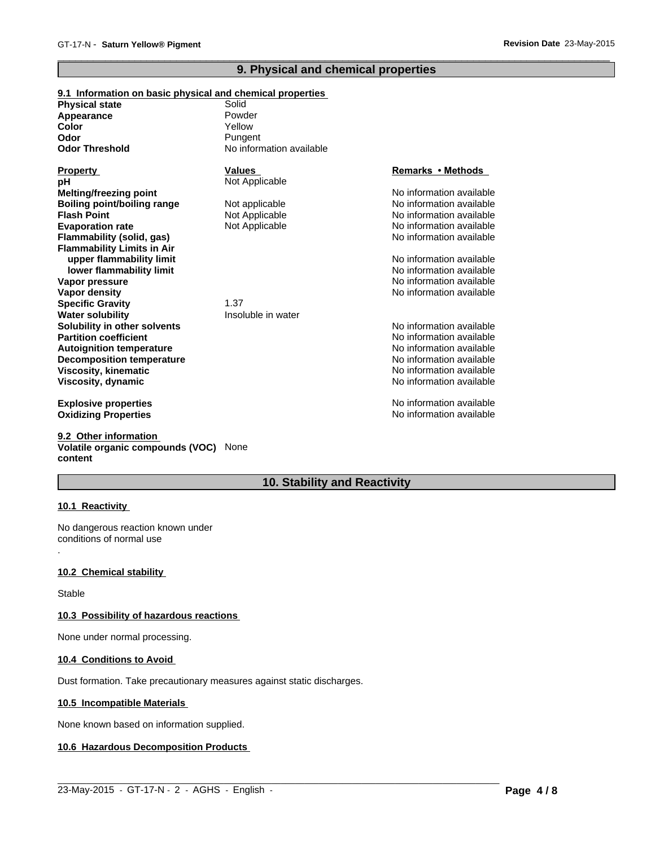# **9. Physical and chemical properties**

 $\overline{\phantom{a}}$  ,  $\overline{\phantom{a}}$  ,  $\overline{\phantom{a}}$  ,  $\overline{\phantom{a}}$  ,  $\overline{\phantom{a}}$  ,  $\overline{\phantom{a}}$  ,  $\overline{\phantom{a}}$  ,  $\overline{\phantom{a}}$  ,  $\overline{\phantom{a}}$  ,  $\overline{\phantom{a}}$  ,  $\overline{\phantom{a}}$  ,  $\overline{\phantom{a}}$  ,  $\overline{\phantom{a}}$  ,  $\overline{\phantom{a}}$  ,  $\overline{\phantom{a}}$  ,  $\overline{\phantom{a}}$ 

| 9.1 Information on basic physical and chemical properties |                          |                          |
|-----------------------------------------------------------|--------------------------|--------------------------|
| <b>Physical state</b>                                     | Solid                    |                          |
| Appearance                                                | Powder                   |                          |
| Color                                                     | Yellow                   |                          |
| Odor                                                      | Pungent                  |                          |
| <b>Odor Threshold</b>                                     | No information available |                          |
| <b>Property</b>                                           | <b>Values</b>            | Remarks • Methods        |
| pН                                                        | Not Applicable           |                          |
| <b>Melting/freezing point</b>                             |                          | No information available |
| <b>Boiling point/boiling range</b>                        | Not applicable           | No information available |
| <b>Flash Point</b>                                        | Not Applicable           | No information available |
| <b>Evaporation rate</b>                                   | Not Applicable           | No information available |
| Flammability (solid, gas)                                 |                          | No information available |
| <b>Flammability Limits in Air</b>                         |                          |                          |
| upper flammability limit                                  |                          | No information available |
| lower flammability limit                                  |                          | No information available |
| Vapor pressure                                            |                          | No information available |
| <b>Vapor density</b>                                      |                          | No information available |
| <b>Specific Gravity</b>                                   | 1.37                     |                          |
| <b>Water solubility</b>                                   | Insoluble in water       |                          |
| Solubility in other solvents                              |                          | No information available |
| <b>Partition coefficient</b>                              |                          | No information available |
| <b>Autoignition temperature</b>                           |                          | No information available |
| <b>Decomposition temperature</b>                          |                          | No information available |
| Viscosity, kinematic                                      |                          | No information available |
| Viscosity, dynamic                                        |                          | No information available |
| <b>Explosive properties</b>                               |                          | No information available |
| <b>Oxidizing Properties</b>                               |                          | No information available |

**9.2 Other information Volatile organic compounds (VOC)** None **content**

# **10. Stability and Reactivity**

 $\_$  ,  $\_$  ,  $\_$  ,  $\_$  ,  $\_$  ,  $\_$  ,  $\_$  ,  $\_$  ,  $\_$  ,  $\_$  ,  $\_$  ,  $\_$  ,  $\_$  ,  $\_$  ,  $\_$  ,  $\_$  ,  $\_$  ,  $\_$  ,  $\_$  ,  $\_$  ,  $\_$  ,  $\_$  ,  $\_$  ,  $\_$  ,  $\_$  ,  $\_$  ,  $\_$  ,  $\_$  ,  $\_$  ,  $\_$  ,  $\_$  ,  $\_$  ,  $\_$  ,  $\_$  ,  $\_$  ,  $\_$  ,  $\_$  ,

#### **10.1 Reactivity**

.

No dangerous reaction known under conditions of normal use

## **10.2 Chemical stability**

Stable

## **10.3 Possibility of hazardous reactions**

None under normal processing.

#### **10.4 Conditions to Avoid**

Dust formation. Take precautionary measures against static discharges.

#### **10.5 Incompatible Materials**

None known based on information supplied.

### **10.6 Hazardous Decomposition Products**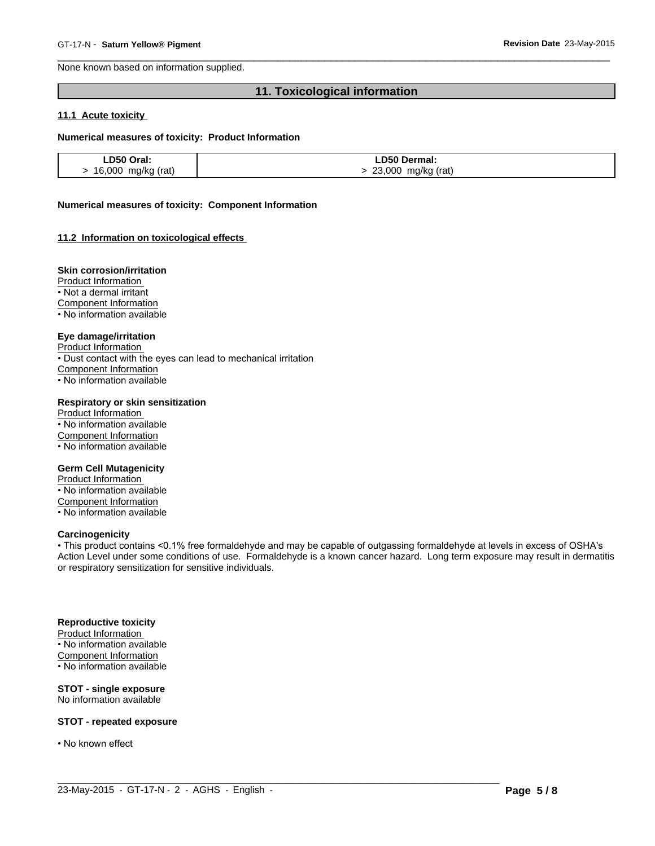None known based on information supplied.

# **11. Toxicological information**

 $\overline{\phantom{a}}$  ,  $\overline{\phantom{a}}$  ,  $\overline{\phantom{a}}$  ,  $\overline{\phantom{a}}$  ,  $\overline{\phantom{a}}$  ,  $\overline{\phantom{a}}$  ,  $\overline{\phantom{a}}$  ,  $\overline{\phantom{a}}$  ,  $\overline{\phantom{a}}$  ,  $\overline{\phantom{a}}$  ,  $\overline{\phantom{a}}$  ,  $\overline{\phantom{a}}$  ,  $\overline{\phantom{a}}$  ,  $\overline{\phantom{a}}$  ,  $\overline{\phantom{a}}$  ,  $\overline{\phantom{a}}$ 

#### **11.1 Acute toxicity**

#### **Numerical measures of toxicity: Product Information**

| LD50 Oral:         | <b>_D50 Dermal:</b>   |
|--------------------|-----------------------|
| 16,000 mg/kg (rat) | 23,000<br>mg/kg (rat) |

#### **Numerical measures of toxicity: Component Information**

#### **11.2 Information on toxicological effects**

#### **Skin corrosion/irritation**

Product Information

• Not a dermal irritant

Component Information

• No information available

#### **Eye damage/irritation**

Product Information

• Dust contact with the eyes can lead to mechanical irritation

Component Information

• No information available

#### **Respiratory or skin sensitization**

Product Information • No information available Component Information • No information available

#### **Germ Cell Mutagenicity**

Product Information • No information available Component Information • No information available

#### **Carcinogenicity**

• This product contains <0.1% free formaldehyde and may be capable of outgassing formaldehyde at levels in excess of OSHA's Action Level under some conditions of use. Formaldehyde is a known cancer hazard. Long term exposure may result in dermatitis or respiratory sensitization for sensitive individuals.

 $\_$  ,  $\_$  ,  $\_$  ,  $\_$  ,  $\_$  ,  $\_$  ,  $\_$  ,  $\_$  ,  $\_$  ,  $\_$  ,  $\_$  ,  $\_$  ,  $\_$  ,  $\_$  ,  $\_$  ,  $\_$  ,  $\_$  ,  $\_$  ,  $\_$  ,  $\_$  ,  $\_$  ,  $\_$  ,  $\_$  ,  $\_$  ,  $\_$  ,  $\_$  ,  $\_$  ,  $\_$  ,  $\_$  ,  $\_$  ,  $\_$  ,  $\_$  ,  $\_$  ,  $\_$  ,  $\_$  ,  $\_$  ,  $\_$  ,

#### **Reproductive toxicity**

Product Information • No information available Component Information • No information available

#### **STOT - single exposure** No information available

**STOT - repeated exposure**

• No known effect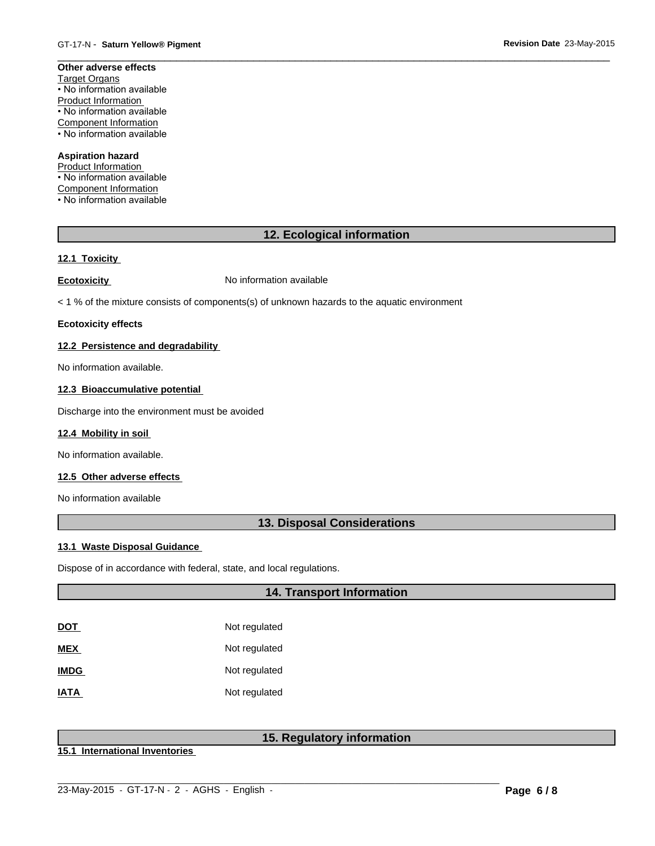#### **Other adverse effects** Target Organs • No information available Product Information • No information available Component Information

• No information available

# **Aspiration hazard**

Product Information • No information available Component Information • No information available

# **12. Ecological information**

 $\overline{\phantom{a}}$  ,  $\overline{\phantom{a}}$  ,  $\overline{\phantom{a}}$  ,  $\overline{\phantom{a}}$  ,  $\overline{\phantom{a}}$  ,  $\overline{\phantom{a}}$  ,  $\overline{\phantom{a}}$  ,  $\overline{\phantom{a}}$  ,  $\overline{\phantom{a}}$  ,  $\overline{\phantom{a}}$  ,  $\overline{\phantom{a}}$  ,  $\overline{\phantom{a}}$  ,  $\overline{\phantom{a}}$  ,  $\overline{\phantom{a}}$  ,  $\overline{\phantom{a}}$  ,  $\overline{\phantom{a}}$ 

# **12.1 Toxicity**

**Ecotoxicity No information available** 

< 1 % of the mixture consists of components(s) of unknown hazards to the aquatic environment

#### **Ecotoxicity effects**

#### **12.2 Persistence and degradability**

No information available.

# **12.3 Bioaccumulative potential**

Discharge into the environment must be avoided

#### **12.4 Mobility in soil**

No information available.

#### **12.5 Other adverse effects**

No information available

# **13. Disposal Considerations**

#### **13.1 Waste Disposal Guidance**

Dispose of in accordance with federal, state, and local regulations.

# **14. Transport Information**

| DOT         | Not regulated |
|-------------|---------------|
| MEX         | Not regulated |
| <b>IMDG</b> | Not regulated |
| <b>IATA</b> | Not regulated |

# **15. Regulatory information**

**15.1 International Inventories**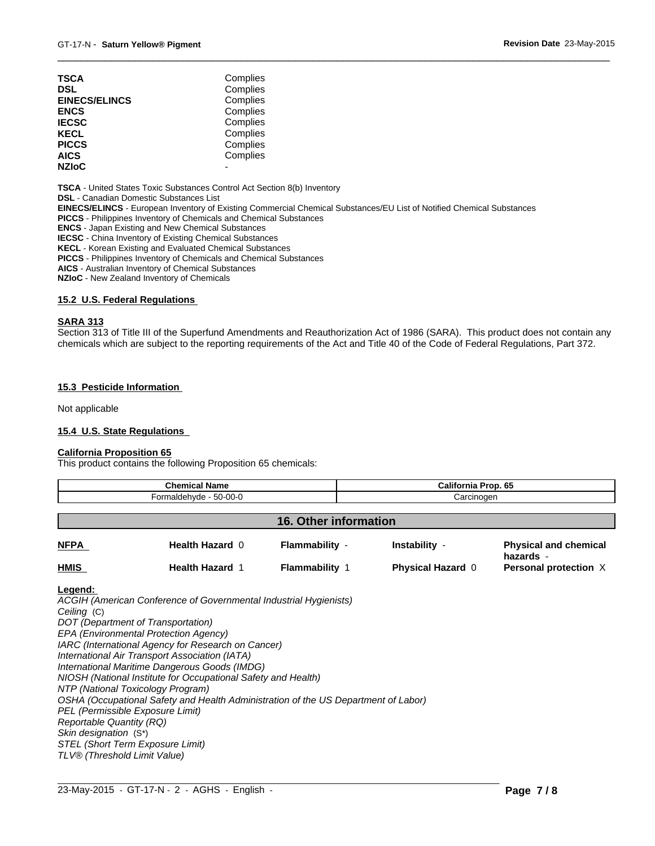| TSCA                 | Complies |  |
|----------------------|----------|--|
| DSL                  | Complies |  |
| <b>EINECS/ELINCS</b> | Complies |  |
| ENCS                 | Complies |  |
| <b>IECSC</b>         | Complies |  |
| KECL                 | Complies |  |
| PICCS                | Complies |  |
| AICS                 | Complies |  |
| <b>NZIoC</b>         |          |  |
|                      |          |  |

**TSCA** - United States Toxic Substances Control Act Section 8(b) Inventory

**DSL** - Canadian Domestic Substances List

**EINECS/ELINCS** - European Inventory of Existing Commercial Chemical Substances/EU List of Notified Chemical Substances

**PICCS** - Philippines Inventory of Chemicals and Chemical Substances

**ENCS** - Japan Existing and New Chemical Substances

**IECSC** - China Inventory of Existing Chemical Substances

**KECL** - Korean Existing and Evaluated Chemical Substances

**PICCS** - Philippines Inventory of Chemicals and Chemical Substances

**AICS** - Australian Inventory of Chemical Substances

**NZIoC** - New Zealand Inventory of Chemicals

#### **15.2 U.S. Federal Regulations**

#### **SARA 313**

Section 313 of Title III of the Superfund Amendments and Reauthorization Act of 1986 (SARA). This product does not contain any chemicals which are subject to the reporting requirements of the Act and Title 40 of the Code of Federal Regulations, Part 372.

 $\overline{\phantom{a}}$  ,  $\overline{\phantom{a}}$  ,  $\overline{\phantom{a}}$  ,  $\overline{\phantom{a}}$  ,  $\overline{\phantom{a}}$  ,  $\overline{\phantom{a}}$  ,  $\overline{\phantom{a}}$  ,  $\overline{\phantom{a}}$  ,  $\overline{\phantom{a}}$  ,  $\overline{\phantom{a}}$  ,  $\overline{\phantom{a}}$  ,  $\overline{\phantom{a}}$  ,  $\overline{\phantom{a}}$  ,  $\overline{\phantom{a}}$  ,  $\overline{\phantom{a}}$  ,  $\overline{\phantom{a}}$ 

#### **15.3 Pesticide Information**

Not applicable

#### **15.4 U.S. State Regulations**

#### **California Proposition 65**

This product contains the following Proposition 65 chemicals:

| <b>Chemical Name</b> |                        |                       | California Prop. 65      |                                           |
|----------------------|------------------------|-----------------------|--------------------------|-------------------------------------------|
|                      | Formaldehyde - 50-00-0 | Carcinogen            |                          |                                           |
|                      |                        | 16. Other information |                          |                                           |
| <b>NFPA</b>          | Health Hazard 0        | Flammability -        | Instability -            | <b>Physical and chemical</b><br>hazards - |
| <b>HMIS</b>          | <b>Health Hazard 1</b> | <b>Flammability 1</b> | <b>Physical Hazard 0</b> | Personal protection X                     |

 $\_$  ,  $\_$  ,  $\_$  ,  $\_$  ,  $\_$  ,  $\_$  ,  $\_$  ,  $\_$  ,  $\_$  ,  $\_$  ,  $\_$  ,  $\_$  ,  $\_$  ,  $\_$  ,  $\_$  ,  $\_$  ,  $\_$  ,  $\_$  ,  $\_$  ,  $\_$  ,  $\_$  ,  $\_$  ,  $\_$  ,  $\_$  ,  $\_$  ,  $\_$  ,  $\_$  ,  $\_$  ,  $\_$  ,  $\_$  ,  $\_$  ,  $\_$  ,  $\_$  ,  $\_$  ,  $\_$  ,  $\_$  ,  $\_$  ,

#### **Legend:**

*ACGIH (American Conference of Governmental Industrial Hygienists) Ceiling* (C) *DOT (Department of Transportation) EPA (Environmental Protection Agency) IARC (International Agency for Research on Cancer) International Air Transport Association (IATA) International Maritime Dangerous Goods (IMDG) NIOSH (National Institute for Occupational Safety and Health) NTP (National Toxicology Program) OSHA (Occupational Safety and Health Administration of the US Department of Labor) PEL (Permissible Exposure Limit) Reportable Quantity (RQ) Skin designation* (S\*) *STEL (Short Term Exposure Limit) TLV® (Threshold Limit Value)*